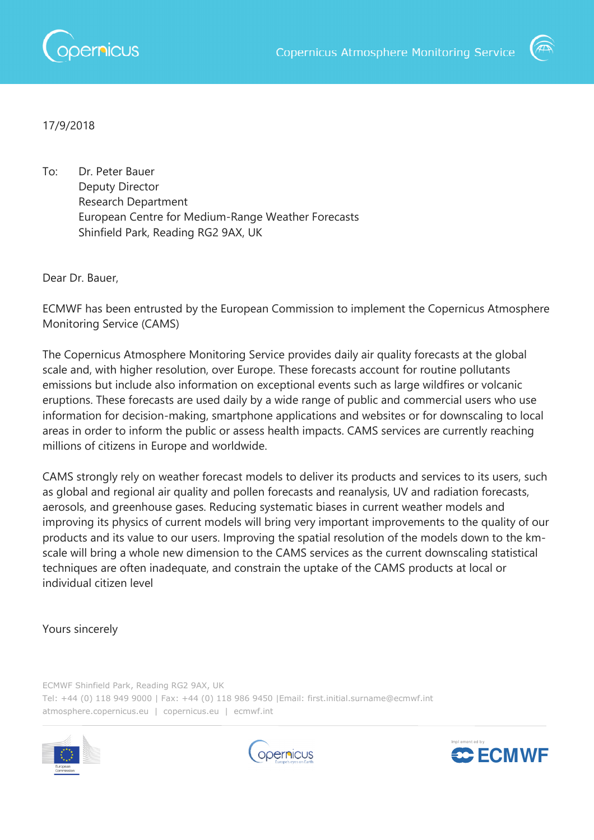



## 17/9/2018

To: Dr. Peter Bauer Deputy Director Research Department European Centre for Medium-Range Weather Forecasts Shinfield Park, Reading RG2 9AX, UK

Dear Dr. Bauer,

ECMWF has been entrusted by the European Commission to implement the Copernicus Atmosphere Monitoring Service (CAMS)

The Copernicus Atmosphere Monitoring Service provides daily air quality forecasts at the global scale and, with higher resolution, over Europe. These forecasts account for routine pollutants emissions but include also information on exceptional events such as large wildfires or volcanic eruptions. These forecasts are used daily by a wide range of public and commercial users who use information for decision-making, smartphone applications and websites or for downscaling to local areas in order to inform the public or assess health impacts. CAMS services are currently reaching millions of citizens in Europe and worldwide.

CAMS strongly rely on weather forecast models to deliver its products and services to its users, such as global and regional air quality and pollen forecasts and reanalysis, UV and radiation forecasts, aerosols, and greenhouse gases. Reducing systematic biases in current weather models and improving its physics of current models will bring very important improvements to the quality of our products and its value to our users. Improving the spatial resolution of the models down to the kmscale will bring a whole new dimension to the CAMS services as the current downscaling statistical techniques are often inadequate, and constrain the uptake of the CAMS products at local or individual citizen level

## Yours sincerely

ECMWF Shinfield Park, Reading RG2 9AX, UK Tel: +44 (0) 118 949 9000 | Fax: +44 (0) 118 986 9450 |Email: first.initial.surname@ecmwf.int atmosphere.copernicus.eu | copernicus.eu | ecmwf.int